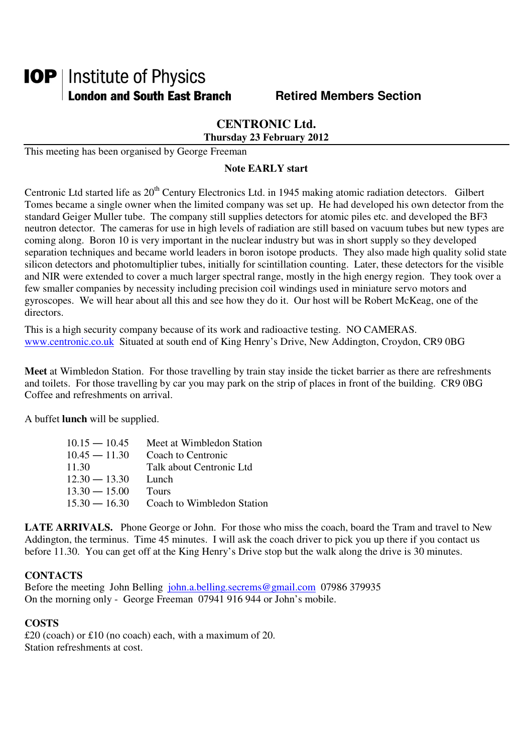# **IOP** | Institute of Physics **London and South East Branch Fighter Contract Members Section**

## **CENTRONIC Ltd. Thursday 23 February 2012**

This meeting has been organised by George Freeman

### **Note EARLY start**

Centronic Ltd started life as 20<sup>th</sup> Century Electronics Ltd. in 1945 making atomic radiation detectors. Gilbert Tomes became a single owner when the limited company was set up. He had developed his own detector from the standard Geiger Muller tube. The company still supplies detectors for atomic piles etc. and developed the BF3 neutron detector. The cameras for use in high levels of radiation are still based on vacuum tubes but new types are coming along. Boron 10 is very important in the nuclear industry but was in short supply so they developed separation techniques and became world leaders in boron isotope products. They also made high quality solid state silicon detectors and photomultiplier tubes, initially for scintillation counting. Later, these detectors for the visible and NIR were extended to cover a much larger spectral range, mostly in the high energy region. They took over a few smaller companies by necessity including precision coil windings used in miniature servo motors and gyroscopes. We will hear about all this and see how they do it. Our host will be Robert McKeag, one of the directors<sup>1</sup>

This is a high security company because of its work and radioactive testing. NO CAMERAS. www.centronic.co.uk Situated at south end of King Henry's Drive, New Addington, Croydon, CR9 0BG

**Meet** at Wimbledon Station. For those travelling by train stay inside the ticket barrier as there are refreshments and toilets. For those travelling by car you may park on the strip of places in front of the building. CR9 0BG Coffee and refreshments on arrival.

A buffet **lunch** will be supplied.

| $10.15 - 10.45$ | Meet at Wimbledon Station  |
|-----------------|----------------------------|
| $10.45 - 11.30$ | Coach to Centronic         |
| 11.30           | Talk about Centronic Ltd   |
| $12.30 - 13.30$ | Lunch                      |
| $13.30 - 15.00$ | <b>Tours</b>               |
| $15.30 - 16.30$ | Coach to Wimbledon Station |

LATE ARRIVALS. Phone George or John. For those who miss the coach, board the Tram and travel to New Addington, the terminus. Time 45 minutes. I will ask the coach driver to pick you up there if you contact us before 11.30. You can get off at the King Henry's Drive stop but the walk along the drive is 30 minutes.

#### **CONTACTS**

Before the meeting John Belling john.a.belling.secrems@gmail.com 07986 379935 On the morning only - George Freeman 07941 916 944 or John's mobile.

#### **COSTS**

£20 (coach) or £10 (no coach) each, with a maximum of 20. Station refreshments at cost.